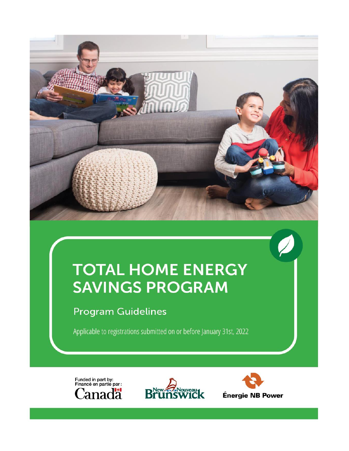

# **TOTAL HOME ENERGY SAVINGS PROGRAM**

## **Program Guidelines**

Applicable to registrations submitted on or before January 31st, 2022





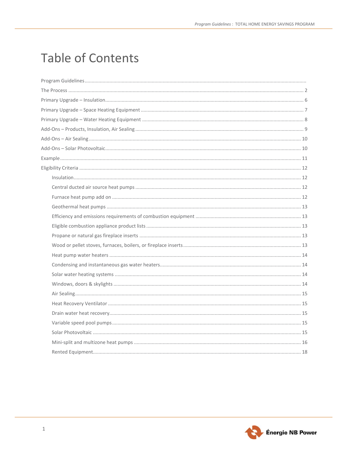## **Table of Contents**

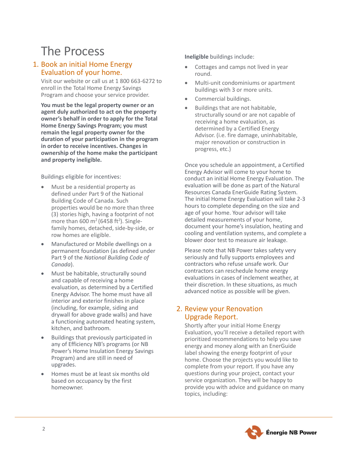## <span id="page-3-0"></span>The Process

### 1. Book an initial Home Energy Evaluation of your home.

Visit our website or call us at 1 800 663-6272 to enroll in the Total Home Energy Savings Program and choose your service provider.

**You must be the legal property owner or an agent duly authorized to act on the property owner's behalf in order to apply for the Total Home Energy Savings Program; you must remain the legal property owner for the duration of your participation in the program in order to receive incentives. Changes in ownership of the home make the participant and property ineligible.**

Buildings eligible for incentives:

- Must be a residential property as defined under Part 9 of the National Building Code of Canada. Such properties would be no more than three (3) stories high, having a footprint of not more than 600  $m^2$  (6458 ft<sup>2</sup>). Singlefamily homes, detached, side-by-side, or row homes are eligible.
- Manufactured or Mobile dwellings on a permanent foundation (as defined under Part 9 of the *National Building Code of Canada*).
- Must be habitable, structurally sound and capable of receiving a home evaluation, as determined by a Certified Energy Advisor. The home must have all interior and exterior finishes in place (including, for example, siding and drywall for above grade walls) and have a functioning automated heating system, kitchen, and bathroom.
- Buildings that previously participated in any of Efficiency NB's programs (or NB Power's Home Insulation Energy Savings Program) and are still in need of upgrades.
- Homes must be at least six months old based on occupancy by the first homeowner.

**Ineligible** buildings include:

- Cottages and camps not lived in year round.
- Multi-unit condominiums or apartment buildings with 3 or more units.
- Commercial buildings.
- Buildings that are not habitable, structurally sound or are not capable of receiving a home evaluation, as determined by a Certified Energy Advisor. (i.e. fire damage, uninhabitable, major renovation or construction in progress, etc.)

Once you schedule an appointment, a Certified Energy Advisor will come to your home to conduct an initial Home Energy Evaluation. The evaluation will be done as part of the Natural Resources Canada EnerGuide Rating System. The initial Home Energy Evaluation will take 2-3 hours to complete depending on the size and age of your home. Your advisor will take detailed measurements of your home, document your home's insulation, heating and cooling and ventilation systems, and complete a blower door test to measure air leakage.

Please note that NB Power takes safety very seriously and fully supports employees and contractors who refuse unsafe work. Our contractors can reschedule home energy evaluations in cases of inclement weather, at their discretion. In these situations, as much advanced notice as possible will be given.

## 2. Review your Renovation Upgrade Report.

Shortly after your initial Home Energy Evaluation, you'll receive a detailed report with prioritized recommendations to help you save energy and money along with an EnerGuide label showing the energy footprint of your home. Choose the projects you would like to complete from your report. If you have any questions during your project, contact your service organization. They will be happy to provide you with advice and guidance on many topics, including:

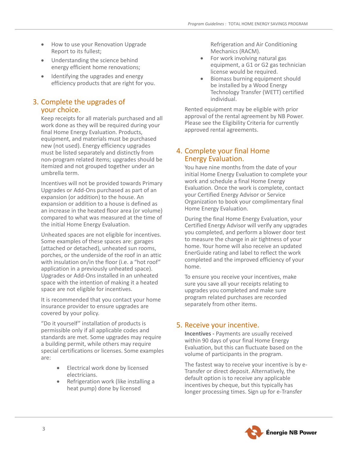- How to use your Renovation Upgrade Report to its fullest;
- Understanding the science behind energy efficient home renovations;
- Identifying the upgrades and energy efficiency products that are right for you.

### 3. Complete the upgrades of your choice.

Keep receipts for all materials purchased and all work done as they will be required during your final Home Energy Evaluation. Products, equipment, and materials must be purchased new (not used). Energy efficiency upgrades must be listed separately and distinctly from non-program related items; upgrades should be itemized and not grouped together under an umbrella term.

Incentives will not be provided towards Primary Upgrades or Add-Ons purchased as part of an expansion (or addition) to the house. An expansion or addition to a house is defined as an increase in the heated floor area (or volume) compared to what was measured at the time of the initial Home Energy Evaluation.

Unheated spaces are not eligible for incentives. Some examples of these spaces are: garages (attached or detached), unheated sun rooms, porches, or the underside of the roof in an attic with insulation on/in the floor (i.e. a "hot roof" application in a previously unheated space). Upgrades or Add-Ons installed in an unheated space with the intention of making it a heated space are not eligible for incentives.

It is recommended that you contact your home insurance provider to ensure upgrades are covered by your policy.

"Do it yourself" installation of products is permissible only if all applicable codes and standards are met. Some upgrades may require a building permit, while others may require special certifications or licenses. Some examples are:

- Electrical work done by licensed electricians.
- Refrigeration work (like installing a heat pump) done by licensed

Refrigeration and Air Conditioning Mechanics (RACM).

- For work involving natural gas equipment, a G1 or G2 gas technician license would be required.
- Biomass burning equipment should be installed by a Wood Energy Technology Transfer (WETT) certified individual.

Rented equipment may be eligible with prior approval of the rental agreement by NB Power. Please see the Eligibility Criteria for currently approved rental agreements.

## 4. Complete your final Home Energy Evaluation.

You have nine months from the date of your initial Home Energy Evaluation to complete your work and schedule a final Home Energy Evaluation. Once the work is complete, contact your Certified Energy Advisor or Service Organization to book your complimentary final Home Energy Evaluation.

During the final Home Energy Evaluation, your Certified Energy Advisor will verify any upgrades you completed, and perform a blower door test to measure the change in air tightness of your home. Your home will also receive an updated EnerGuide rating and label to reflect the work completed and the improved efficiency of your home.

To ensure you receive your incentives, make sure you save all your receipts relating to upgrades you completed and make sure program related purchases are recorded separately from other items.

## 5. Receive your incentive.

**Incentives -** Payments are usually received within 90 days of your final Home Energy Evaluation, but this can fluctuate based on the volume of participants in the program.

The fastest way to receive your incentive is by e-Transfer or direct deposit. Alternatively, the default option is to receive any applicable incentives by cheque, but this typically has longer processing times. Sign up for e-Transfer

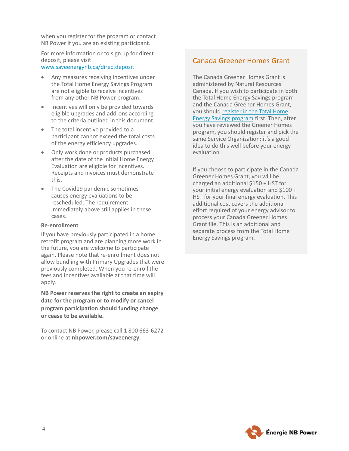when you register for the program or contact NB Power if you are an existing participant.

For more information or to sign up for direct deposit, please visit

[www.saveenergynb.ca/directdeposit](http://www.saveenergynb.ca/directdeposit)

- Any measures receiving incentives under the Total Home Energy Savings Program are not eligible to receive incentives from any other NB Power program.
- Incentives will only be provided towards eligible upgrades and add-ons according to the criteria outlined in this document.
- The total incentive provided to a participant cannot exceed the total costs of the energy efficiency upgrades.
- Only work done or products purchased after the date of the initial Home Energy Evaluation are eligible for incentives. Receipts and invoices must demonstrate this.
- The Covid19 pandemic sometimes causes energy evaluations to be rescheduled. The requirement immediately above still applies in these cases.

#### **Re-enrollment**

If you have previously participated in a home retrofit program and are planning more work in the future, you are welcome to participate again. Please note that re-enrollment does not allow bundling with Primary Upgrades that were previously completed. When you re-enroll the fees and incentives available at that time will apply.

**NB Power reserves the right to create an expiry date for the program or to modify or cancel program participation should funding change or cease to be available.** 

To contact NB Power, please call 1 800 663-6272 or online at **nbpower.com/saveenergy**.

## Canada Greener Homes Grant

The Canada Greener Homes Grant is administered by Natural Resources Canada. If you wish to participate in both the Total Home Energy Savings program and the Canada Greener Homes Grant, you should [register in the Total Home](https://www.saveenergynb.ca/NBPForms/HomeInsulation.aspx?lang=en)  [Energy Savings program](https://www.saveenergynb.ca/NBPForms/HomeInsulation.aspx?lang=en) first. Then, after you have reviewed the Greener Homes program, you should register and pick the same Service Organization; it's a good idea to do this well before your energy evaluation.

If you choose to participate in the Canada Greener Homes Grant, you will be charged an additional \$150 + HST for your initial energy evaluation and \$100 + HST for your final energy evaluation. This additional cost covers the additional effort required of your energy advisor to process your Canada Greener Homes Grant file. This is an additional and separate process from the Total Home Energy Savings program.

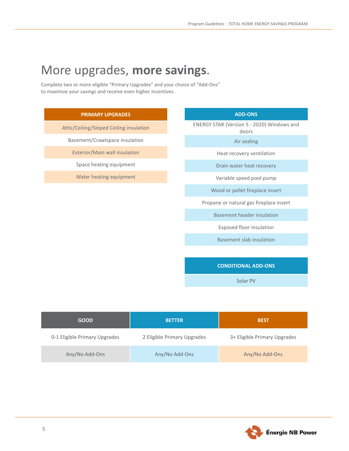## More upgrades, **more savings**.

Complete two or more eligible "Primary Upgrades" and your choice of "Add-Ons" to maximize your savings and receive even higher incentives.



Solar PV

| <b>GOOD</b>                   | <b>BETTER</b>               | <b>BEST</b>                  |
|-------------------------------|-----------------------------|------------------------------|
| 0-1 Eligible Primary Upgrades | 2 Eligible Primary Upgrades | 3+ Eligible Primary Upgrades |
| Any/No Add-Ons                | Any/No Add-Ons              | Any/No Add-Ons               |

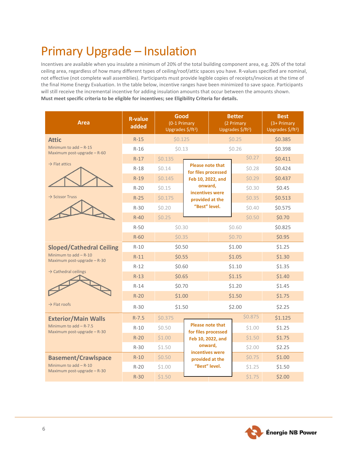## <span id="page-7-0"></span>Primary Upgrade – Insulation

Incentives are available when you insulate a minimum of 20% of the total building component area, e.g. 20% of the total ceiling area, regardless of how many different types of ceiling/roof/attic spaces you have. R-values specified are nominal, not effective (not complete wall assemblies). Participants must provide legible copies of receipts/invoices at the time of the final Home Energy Evaluation. In the table below, incentive ranges have been minimized to save space. Participants will still receive the incremental incentive for adding insulation amounts that occur between the amounts shown. **Must meet specific criteria to be eligible for incentives; see Eligibility Criteria for details.**

| <b>Area</b>                                              | <b>R-value</b><br>added | Good<br>(0-1 Primary<br>Upgrades \$/ft <sup>2</sup> ) |                                                |        |         |         |  |  |  |  |  |  |  |  |  |  |  |  |  |  | <b>Better</b><br>(2 Primary<br>Upgrades \$/ft <sup>2</sup> ) | <b>Best</b><br>(3+ Primary<br>Upgrades \$/ft <sup>2</sup> ) |
|----------------------------------------------------------|-------------------------|-------------------------------------------------------|------------------------------------------------|--------|---------|---------|--|--|--|--|--|--|--|--|--|--|--|--|--|--|--------------------------------------------------------------|-------------------------------------------------------------|
| <b>Attic</b>                                             | $R-15$                  | \$0.125                                               |                                                |        | \$0.25  | \$0.385 |  |  |  |  |  |  |  |  |  |  |  |  |  |  |                                                              |                                                             |
| Minimum to $add - R-15$<br>Maximum post-upgrade $-$ R-60 | $R-16$                  | \$0.13                                                |                                                |        | \$0.26  | \$0.398 |  |  |  |  |  |  |  |  |  |  |  |  |  |  |                                                              |                                                             |
| $\rightarrow$ Flat attics                                | $R-17$                  | \$0.135                                               |                                                |        | \$0.27  | \$0.411 |  |  |  |  |  |  |  |  |  |  |  |  |  |  |                                                              |                                                             |
|                                                          | $R-18$                  | \$0.14                                                | <b>Please note that</b><br>for files processed |        | \$0.28  | \$0.424 |  |  |  |  |  |  |  |  |  |  |  |  |  |  |                                                              |                                                             |
|                                                          | $R-19$                  | \$0.145                                               | Feb 10, 2022, and                              |        | \$0.29  | \$0.437 |  |  |  |  |  |  |  |  |  |  |  |  |  |  |                                                              |                                                             |
|                                                          | $R-20$                  | \$0.15                                                | onward,<br>incentives were                     |        | \$0.30  | \$0.45  |  |  |  |  |  |  |  |  |  |  |  |  |  |  |                                                              |                                                             |
| $\rightarrow$ Scissor Truss                              | $R-25$                  | \$0.175                                               | provided at the                                |        | \$0.35  | \$0.513 |  |  |  |  |  |  |  |  |  |  |  |  |  |  |                                                              |                                                             |
|                                                          | $R-30$                  | \$0.20                                                | "Best" level.                                  |        | \$0.40  | \$0.575 |  |  |  |  |  |  |  |  |  |  |  |  |  |  |                                                              |                                                             |
|                                                          | $R-40$                  | \$0.25                                                |                                                |        | \$0.50  | \$0.70  |  |  |  |  |  |  |  |  |  |  |  |  |  |  |                                                              |                                                             |
|                                                          | $R-50$                  | \$0.30                                                |                                                | \$0.60 |         | \$0.825 |  |  |  |  |  |  |  |  |  |  |  |  |  |  |                                                              |                                                             |
|                                                          | $R-60$                  | \$0.35                                                |                                                |        | \$0.70  | \$0.95  |  |  |  |  |  |  |  |  |  |  |  |  |  |  |                                                              |                                                             |
| <b>Sloped/Cathedral Ceiling</b>                          | $R-10$                  | \$0.50                                                |                                                |        | \$1.00  | \$1.25  |  |  |  |  |  |  |  |  |  |  |  |  |  |  |                                                              |                                                             |
| Minimum to $add - R-10$<br>Maximum post-upgrade $-$ R-30 | $R-11$                  |                                                       | \$0.55                                         |        | \$1.05  | \$1.30  |  |  |  |  |  |  |  |  |  |  |  |  |  |  |                                                              |                                                             |
| $\rightarrow$ Cathedral ceilings                         | $R-12$                  | \$0.60                                                |                                                | \$1.10 |         | \$1.35  |  |  |  |  |  |  |  |  |  |  |  |  |  |  |                                                              |                                                             |
|                                                          | $R-13$                  | \$0.65                                                |                                                | \$1.15 |         | \$1.40  |  |  |  |  |  |  |  |  |  |  |  |  |  |  |                                                              |                                                             |
|                                                          | $R-14$                  | \$0.70                                                |                                                | \$1.20 |         | \$1.45  |  |  |  |  |  |  |  |  |  |  |  |  |  |  |                                                              |                                                             |
|                                                          | $R-20$                  | \$1.00                                                |                                                | \$1.50 |         | \$1.75  |  |  |  |  |  |  |  |  |  |  |  |  |  |  |                                                              |                                                             |
| $\rightarrow$ Flat roofs                                 | $R-30$                  | \$1.50                                                |                                                | \$2.00 |         | \$2.25  |  |  |  |  |  |  |  |  |  |  |  |  |  |  |                                                              |                                                             |
| <b>Exterior/Main Walls</b>                               | $R - 7.5$               | \$0.375                                               |                                                |        | \$0.875 | \$1.125 |  |  |  |  |  |  |  |  |  |  |  |  |  |  |                                                              |                                                             |
| Minimum to $add - R-7.5$<br>Maximum post-upgrade - R-30  | $R-10$                  | \$0.50                                                | <b>Please note that</b><br>for files processed |        | \$1.00  | \$1.25  |  |  |  |  |  |  |  |  |  |  |  |  |  |  |                                                              |                                                             |
|                                                          | $R-20$                  | \$1.00                                                | Feb 10, 2022, and                              |        | \$1.50  | \$1.75  |  |  |  |  |  |  |  |  |  |  |  |  |  |  |                                                              |                                                             |
|                                                          | $R-30$                  | \$1.50                                                | onward,<br>incentives were                     |        | \$2.00  | \$2.25  |  |  |  |  |  |  |  |  |  |  |  |  |  |  |                                                              |                                                             |
| <b>Basement/Crawlspace</b>                               | $R-10$                  | \$0.50                                                | provided at the                                |        | \$0.75  | \$1.00  |  |  |  |  |  |  |  |  |  |  |  |  |  |  |                                                              |                                                             |
| Minimum to $add - R-10$<br>Maximum post-upgrade $-$ R-30 | $R-20$                  | \$1.00                                                | "Best" level.                                  |        | \$1.25  | \$1.50  |  |  |  |  |  |  |  |  |  |  |  |  |  |  |                                                              |                                                             |
|                                                          | $R-30$                  | \$1.50                                                |                                                |        | \$1.75  | \$2.00  |  |  |  |  |  |  |  |  |  |  |  |  |  |  |                                                              |                                                             |

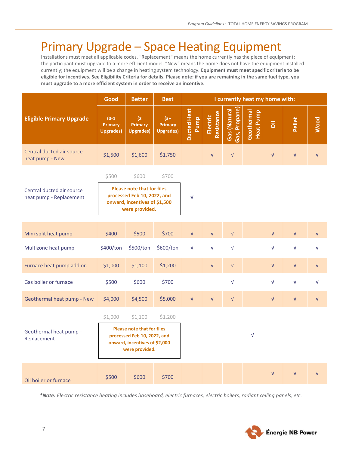## <span id="page-8-0"></span>Primary Upgrade – Space Heating Equipment

Installations must meet all applicable codes. "Replacement" means the home currently has the piece of equipment; the participant must upgrade to a more efficient model. "New" means the home does not have the equipment installed currently; the equipment will be a change in heating system technology. **Equipment must meet specific criteria to be eligible for incentives. See Eligibility Criteria for details. Please note: if you are remaining in the same fuel type, you must upgrade to a more efficient system in order to receive an incentive.**

|                                                      | Good                                          | <b>Better</b>                                                                                                                  | <b>Best</b>                                    |                            |                          |                              | I currently heat my home with: |                           |                          |                          |
|------------------------------------------------------|-----------------------------------------------|--------------------------------------------------------------------------------------------------------------------------------|------------------------------------------------|----------------------------|--------------------------|------------------------------|--------------------------------|---------------------------|--------------------------|--------------------------|
| <b>Eligible Primary Upgrade</b>                      | $(0-1)$<br><b>Primary</b><br><b>Upgrades)</b> | (2)<br><b>Primary</b><br><b>Upgrades)</b>                                                                                      | $(3 + )$<br><b>Primary</b><br><b>Upgrades)</b> | <b>Ducted Heat</b><br>Pump | Resistance<br>Electric   | Gas, Propane<br>Gas (Natural | Geothermal<br><b>Heat Pump</b> | $\overline{\overline{5}}$ | Pellet                   | Wood                     |
| Central ducted air source<br>heat pump - New         | \$1,500                                       | \$1,600                                                                                                                        | \$1,750                                        |                            | $\sqrt{ }$               | $\sqrt{ }$                   |                                | $\sqrt{ }$                | $\sqrt{ }$               | $\sqrt{ }$               |
| Central ducted air source<br>heat pump - Replacement | \$500                                         | \$600<br><b>Please note that for files</b><br>processed Feb 10, 2022, and<br>onward, incentives of \$1,500<br>were provided.   | \$700                                          | $\sqrt{ }$                 |                          |                              |                                |                           |                          |                          |
| Mini split heat pump<br>Multizone heat pump          | \$400<br>\$400/ton                            | \$500<br>\$500/ton                                                                                                             | \$700<br>\$600/ton                             | $\sqrt{ }$<br>$\sqrt{ }$   | $\sqrt{ }$<br>$\sqrt{ }$ | $\sqrt{ }$<br>$\sqrt{ }$     |                                | $\sqrt{ }$<br>$\sqrt{ }$  | $\sqrt{ }$<br>$\sqrt{ }$ | $\sqrt{ }$<br>$\sqrt{ }$ |
| Furnace heat pump add on                             | \$1,000                                       | \$1,100                                                                                                                        | \$1,200                                        |                            | $\sqrt{ }$               | $\sqrt{ }$                   |                                | $\sqrt{ }$                | $\sqrt{ }$               | $\sqrt{ }$               |
| Gas boiler or furnace                                | \$500                                         | \$600                                                                                                                          | \$700                                          |                            |                          | $\sqrt{ }$                   |                                | $\sqrt{ }$                | $\sqrt{ }$               | $\sqrt{ }$               |
| Geothermal heat pump - New                           | \$4,000                                       | \$4,500                                                                                                                        | \$5,000                                        | $\sqrt{ }$                 | $\sqrt{ }$               | $\sqrt{ }$                   |                                | $\sqrt{ }$                | $\sqrt{ }$               | $\sqrt{ }$               |
| Geothermal heat pump -<br>Replacement                | \$1,000                                       | \$1,100<br><b>Please note that for files</b><br>processed Feb 10, 2022, and<br>onward, incentives of \$2,000<br>were provided. | \$1,200                                        |                            |                          |                              | $\sqrt{ }$                     |                           |                          |                          |
| Oil boiler or furnace                                | \$500                                         | \$600                                                                                                                          | \$700                                          |                            |                          |                              |                                | $\sqrt{ }$                | $\sqrt{ }$               | $\sqrt{ }$               |

*\*Note: Electric resistance heating includes baseboard, electric furnaces, electric boilers, radiant ceiling panels, etc.*

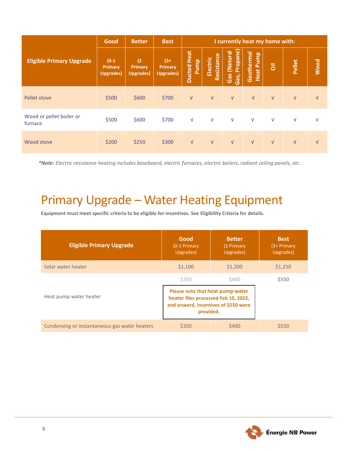|                                     | Good                                    | <b>Better</b>                       | <b>Best</b>                              | I currently heat my home with:       |                        |                                     |                                   |                           |            |            |
|-------------------------------------|-----------------------------------------|-------------------------------------|------------------------------------------|--------------------------------------|------------------------|-------------------------------------|-----------------------------------|---------------------------|------------|------------|
| <b>Eligible Primary Upgrade</b>     | $(0-1)$<br>Primary<br><b>Upgrades</b> ) | (2)<br>Primary<br><b>Upgrades</b> ) | $(3 + )$<br>Primary<br><b>Upgrades</b> ) | Heat<br><b>Pump</b><br><b>Ducted</b> | Resistance<br>Electric | Propane)<br>(Natural<br>Gas<br>Gas, | Geothermal<br><b>Pump</b><br>Heat | $\overline{\overline{6}}$ | Pellet     | Wood       |
| Pellet stove                        | \$500                                   | \$600                               | \$700                                    | $\sqrt{ }$                           | $\sqrt{ }$             | $\sqrt{ }$                          | $\sqrt{ }$                        | $\sqrt{ }$                | $\sqrt{ }$ | $\sqrt{ }$ |
| Wood or pellet boiler or<br>furnace | \$500                                   | \$600                               | \$700                                    | $\sqrt{ }$                           | $\sqrt{ }$             | $\sqrt{ }$                          | $\sqrt{ }$                        | $\sqrt{ }$                | $\sqrt{ }$ | V          |
| Wood stove                          | \$200                                   | \$250                               | \$300                                    | $\sqrt{ }$                           | $\sqrt{ }$             | $\sqrt{ }$                          | $\sqrt{ }$                        | $\sqrt{ }$                | $\sqrt{ }$ | $\sqrt{ }$ |

*\*Note: Electric resistance heating includes baseboard, electric furnaces, electric boilers, radiant ceiling panels, etc.*

## <span id="page-9-0"></span>Primary Upgrade – Water Heating Equipment

**Equipment must meet specific criteria to be eligible for incentives. See Eligibility Criteria for details.**

| <b>Eligible Primary Upgrade</b>               | Good<br>(0-1 Primary<br>Upgrades)                                                                                             | <b>Better</b><br>(2 Primary<br>Upgrades) | <b>Best</b><br>$(3+Primary)$<br>Upgrades) |
|-----------------------------------------------|-------------------------------------------------------------------------------------------------------------------------------|------------------------------------------|-------------------------------------------|
| Solar water heater                            | \$1,100                                                                                                                       | \$1,200                                  | \$1,250                                   |
|                                               | \$350                                                                                                                         | \$400                                    | \$550                                     |
| Heat pump water heater                        | Please note that heat pump water<br>heater files processed Feb 10, 2022,<br>and onward, incentives of \$550 were<br>provided. |                                          |                                           |
| Condensing or instantaneous gas water heaters | \$350                                                                                                                         | \$400                                    | \$550                                     |

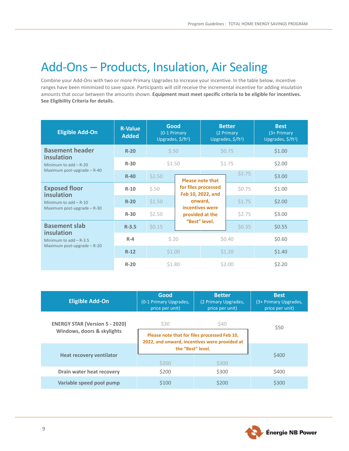## <span id="page-10-0"></span>Add-Ons – Products, Insulation, Air Sealing

Combine your Add-Ons with two or more Primary Upgrades to increase your incentive. In the table below, incentive ranges have been minimized to save space. Participants will still receive the incremental incentive for adding insulation amounts that occur between the amounts shown. **Equipment must meet specific criteria to be eligible for incentives. See Eligibility Criteria for details.**

| <b>Eligible Add-On</b>                                                  | <b>R-Value</b><br><b>Added</b>                                               | Good<br>(0-1 Primary<br>Upgrades, \$/ft <sup>2</sup> ) |                                          | <b>Better</b><br>(2 Primary<br>Upgrades, \$/ft <sup>2</sup> ) |        | <b>Best</b><br>(3+ Primary<br>Upgrades, \$/ft <sup>2</sup> ) |
|-------------------------------------------------------------------------|------------------------------------------------------------------------------|--------------------------------------------------------|------------------------------------------|---------------------------------------------------------------|--------|--------------------------------------------------------------|
| <b>Basement header</b><br>insulation                                    | $R-20$                                                                       | \$.50                                                  |                                          |                                                               | \$0.75 | \$1.00                                                       |
| Minimum to $add - R-20$                                                 | $R-30$                                                                       | \$1.50                                                 |                                          |                                                               | \$1.75 | \$2.00                                                       |
|                                                                         | Maximum post-upgrade $-$ R-40<br>\$2.50<br>$R-40$<br><b>Please note that</b> |                                                        |                                          | \$2.75                                                        | \$3.00 |                                                              |
| <b>Exposed floor</b><br>insulation                                      | $R-10$                                                                       | \$.50                                                  | for files processed<br>Feb 10, 2022, and |                                                               | \$0.75 | \$1.00                                                       |
| Minimum to $add - R-10$                                                 | $R-20$                                                                       | \$1.50                                                 | onward,<br>incentives were               |                                                               | \$1.75 | \$2.00                                                       |
| Maximum post-upgrade $-$ R-30                                           | $R-30$                                                                       | \$2.50                                                 |                                          | provided at the                                               | \$2.75 | \$3.00                                                       |
| <b>Basement slab</b>                                                    | "Best" level.<br>\$0.15<br>$R - 3.5$                                         |                                                        |                                          | \$0.35                                                        | \$0.55 |                                                              |
| insulation<br>Minimum to $add - R-3.5$<br>Maximum post-upgrade $-$ R-20 | $R-4$                                                                        | 5.20                                                   |                                          | \$0.40                                                        |        | \$0.60                                                       |
|                                                                         | $R-12$                                                                       | \$1.00                                                 |                                          | \$1.20                                                        |        | \$1.40                                                       |
|                                                                         | $R-20$                                                                       | \$1.80                                                 |                                          | \$2.00                                                        |        | \$2.20                                                       |

| <b>Eligible Add-On</b>                | Good<br>(0-1 Primary Upgrades,<br>price per unit)                                             | <b>Better</b><br>(2 Primary Upgrades,<br>price per unit) | <b>Best</b><br>(3+ Primary Upgrades,<br>price per unit) |  |
|---------------------------------------|-----------------------------------------------------------------------------------------------|----------------------------------------------------------|---------------------------------------------------------|--|
| <b>ENERGY STAR (Version 5 - 2020)</b> | \$30                                                                                          | <b>\$40</b>                                              |                                                         |  |
| Windows, doors & skylights            | Please note that for files processed Feb 10,<br>2022, and onward, incentives were provided at |                                                          | \$50                                                    |  |
|                                       |                                                                                               | the "Best" level.                                        |                                                         |  |
| <b>Heat recovery ventilator</b>       | \$200                                                                                         | \$300                                                    | \$400                                                   |  |
| Drain water heat recovery             | \$200                                                                                         | \$300                                                    | \$400                                                   |  |
| Variable speed pool pump              | \$100                                                                                         | \$200                                                    | \$300                                                   |  |

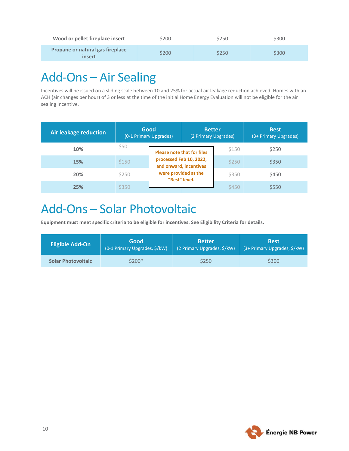| Wood or pellet fireplace insert                   | \$200 | \$250 | \$300 |
|---------------------------------------------------|-------|-------|-------|
| <b>Propane or natural gas fireplace</b><br>insert | \$200 | \$250 | \$300 |

## <span id="page-11-0"></span>Add-Ons – Air Sealing

Incentives will be issued on a sliding scale between 10 and 25% for actual air leakage reduction achieved. Homes with an ACH (air changes per hour) of 3 or less at the time of the initial Home Energy Evaluation will not be eligible for the air sealing incentive.

| Air leakage reduction |       |                                                   |  | Good<br><b>Better</b><br>(0-1 Primary Upgrades)<br>(2 Primary Upgrades) |       |  | <b>Best</b><br>(3+ Primary Upgrades) |
|-----------------------|-------|---------------------------------------------------|--|-------------------------------------------------------------------------|-------|--|--------------------------------------|
| 10%                   | \$50  | <b>Please note that for files</b>                 |  | \$150                                                                   | \$250 |  |                                      |
| 15%                   | \$150 | processed Feb 10, 2022,<br>and onward, incentives |  | \$250                                                                   | \$350 |  |                                      |
| 20%                   | \$250 | were provided at the<br>"Best" level.             |  | \$350                                                                   | \$450 |  |                                      |
| 25%                   | \$350 |                                                   |  | \$450                                                                   | \$550 |  |                                      |

## <span id="page-11-1"></span>Add-Ons – Solar Photovoltaic

**Equipment must meet specific criteria to be eligible for incentives. See Eligibility Criteria for details.**

| <b>Eligible Add-On</b>    | Good                          | <b>Better</b>               | <b>Best</b>                  |
|---------------------------|-------------------------------|-----------------------------|------------------------------|
|                           | (0-1 Primary Upgrades, \$/kW) | (2 Primary Upgrades, \$/kW) | (3+ Primary Upgrades, \$/kW) |
| <b>Solar Photovoltaic</b> | \$200*                        | \$250                       | \$300                        |

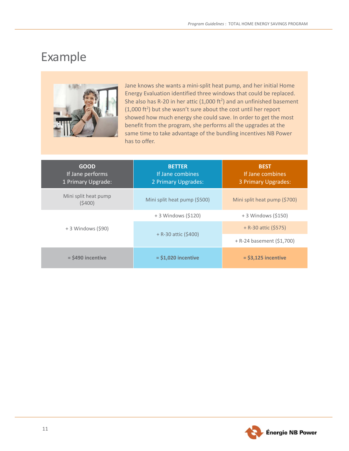## <span id="page-12-0"></span>Example



Jane knows she wants a mini-split heat pump, and her initial Home Energy Evaluation identified three windows that could be replaced. She also has R-20 in her attic (1,000 ft<sup>2</sup>) and an unfinished basement  $(1,000 \text{ ft}^2)$  but she wasn't sure about the cost until her report showed how much energy she could save. In order to get the most benefit from the program, she performs all the upgrades at the same time to take advantage of the bundling incentives NB Power has to offer.

| <b>GOOD</b><br>If Jane performs<br>1 Primary Upgrade: | <b>BETTER</b><br>If Jane combines<br>2 Primary Upgrades: | <b>BEST</b><br>If Jane combines<br>3 Primary Upgrades: |
|-------------------------------------------------------|----------------------------------------------------------|--------------------------------------------------------|
| Mini split heat pump<br>(5400)                        | Mini split heat pump (\$500)                             | Mini split heat pump (\$700)                           |
|                                                       | + 3 Windows (\$120)                                      | $+3$ Windows (\$150)                                   |
| + 3 Windows (\$90)                                    |                                                          | $+ R-30$ attic (\$575)                                 |
|                                                       | $+$ R-30 attic (\$400)                                   | + R-24 basement (\$1,700)                              |
| $=$ \$490 incentive                                   | $=$ \$1,020 incentive                                    | $=$ \$3,125 incentive                                  |

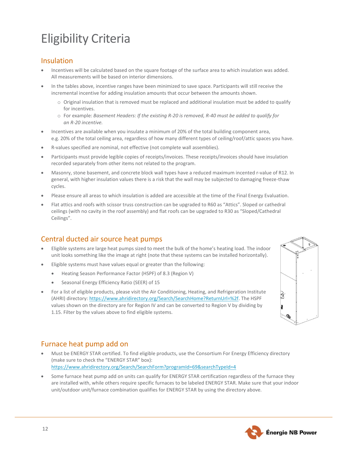## <span id="page-13-0"></span>Eligibility Criteria

## <span id="page-13-1"></span>Insulation

- Incentives will be calculated based on the square footage of the surface area to which insulation was added. All measurements will be based on interior dimensions.
- In the tables above, incentive ranges have been minimized to save space. Participants will still receive the incremental incentive for adding insulation amounts that occur between the amounts shown.
	- $\circ$  Original insulation that is removed must be replaced and additional insulation must be added to qualify for incentives.
	- o For example: *Basement Headers: If the existing R-20 is removed, R-40 must be added to qualify for an R-20 incentive.*
- Incentives are available when you insulate a minimum of 20% of the total building component area, e.g. 20% of the total ceiling area, regardless of how many different types of ceiling/roof/attic spaces you have.
- R-values specified are nominal, not effective (not complete wall assemblies).
- Participants must provide legible copies of receipts/invoices. These receipts/invoices should have insulation recorded separately from other items not related to the program.
- Masonry, stone basement, and concrete block wall types have a reduced maximum incented r-value of R12. In general, with higher insulation values there is a risk that the wall may be subjected to damaging freeze-thaw cycles.
- Please ensure all areas to which insulation is added are accessible at the time of the Final Energy Evaluation.
- Flat attics and roofs with scissor truss construction can be upgraded to R60 as "Attics". Sloped or cathedral ceilings (with no cavity in the roof assembly) and flat roofs can be upgraded to R30 as "Sloped/Cathedral Ceilings".

## <span id="page-13-2"></span>Central ducted air source heat pumps

- Eligible systems are large heat pumps sized to meet the bulk of the home's heating load. The indoor unit looks something like the image at right (note that these systems can be installed horizontally).
- Eligible systems must have values equal or greater than the following:
	- Heating Season Performance Factor (HSPF) of 8.3 (Region V)
	- Seasonal Energy Efficiency Ratio (SEER) of 15
- For a list of eligible products, please visit the Air Conditioning, Heating, and Refrigeration Institute (AHRI) directory[: https://www.ahridirectory.org/Search/SearchHome?ReturnUrl=%2f.](https://www.ahridirectory.org/Search/SearchHome?ReturnUrl=%2f) The HSPF values shown on the directory are for Region IV and can be converted to Region V by dividing by 1.15. Filter by the values above to find eligible systems.



## <span id="page-13-3"></span>Furnace heat pump add on

- Must be ENERGY STAR certified. To find eligible products, use the Consortium For Energy Efficiency directory (make sure to check the "ENERGY STAR" box): <https://www.ahridirectory.org/Search/SearchForm?programId=69&searchTypeId=4>
- Some furnace heat pump add on units can qualify for ENERGY STAR certification regardless of the furnace they are installed with, while others require specific furnaces to be labeled ENERGY STAR. Make sure that your indoor unit/outdoor unit/furnace combination qualifies for ENERGY STAR by using the directory above.

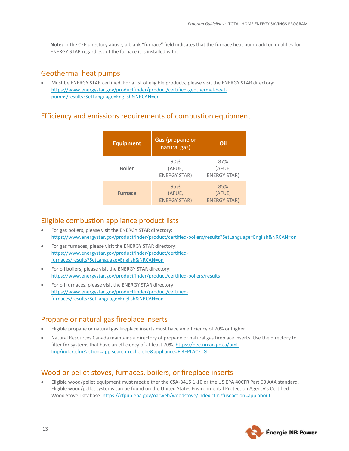**Note:** In the CEE directory above, a blank "furnace" field indicates that the furnace heat pump add on qualifies for ENERGY STAR regardless of the furnace it is installed with.

#### <span id="page-14-0"></span>Geothermal heat pumps

• Must be ENERGY STAR certified. For a list of eligible products, please visit the ENERGY STAR directory: [https://www.energystar.gov/productfinder/product/certified-geothermal-heat](https://www.energystar.gov/productfinder/product/certified-geothermal-heat-pumps/results?SetLanguage=English&NRCAN=on)[pumps/results?SetLanguage=English&NRCAN=on](https://www.energystar.gov/productfinder/product/certified-geothermal-heat-pumps/results?SetLanguage=English&NRCAN=on)

### <span id="page-14-1"></span>Efficiency and emissions requirements of combustion equipment

| <b>Equipment</b> | Gas (propane or<br>natural gas)      | Oil                                  |
|------------------|--------------------------------------|--------------------------------------|
| <b>Boiler</b>    | 90%<br>(AFUE,<br><b>ENERGY STAR)</b> | 87%<br>(AFUE,<br><b>ENERGY STAR)</b> |
| <b>Furnace</b>   | 95%<br>(AFUE,<br><b>ENERGY STAR)</b> | 85%<br>(AFUE,<br><b>ENERGY STAR)</b> |

### <span id="page-14-2"></span>Eligible combustion appliance product lists

- For gas boilers, please visit the ENERGY STAR directory: <https://www.energystar.gov/productfinder/product/certified-boilers/results?SetLanguage=English&NRCAN=on>
- For gas furnaces, please visit the ENERGY STAR directory: [https://www.energystar.gov/productfinder/product/certified](https://www.energystar.gov/productfinder/product/certified-furnaces/results?SetLanguage=English&NRCAN=on)[furnaces/results?SetLanguage=English&NRCAN=on](https://www.energystar.gov/productfinder/product/certified-furnaces/results?SetLanguage=English&NRCAN=on)
- For oil boilers, please visit the ENERGY STAR directory: <https://www.energystar.gov/productfinder/product/certified-boilers/results>
- For oil furnaces, please visit the ENERGY STAR directory: [https://www.energystar.gov/productfinder/product/certified](https://www.energystar.gov/productfinder/product/certified-furnaces/results?SetLanguage=English&NRCAN=on)[furnaces/results?SetLanguage=English&NRCAN=on](https://www.energystar.gov/productfinder/product/certified-furnaces/results?SetLanguage=English&NRCAN=on)

### <span id="page-14-3"></span>Propane or natural gas fireplace inserts

- Eligible propane or natural gas fireplace inserts must have an efficiency of 70% or higher.
- Natural Resources Canada maintains a directory of propane or natural gas fireplace inserts. Use the directory to filter for systems that have an efficiency of at least 70%. [https://oee.nrcan.gc.ca/pml](https://oee.nrcan.gc.ca/pml-lmp/index.cfm?action=app.search-recherche&appliance=FIREPLACE_G)[lmp/index.cfm?action=app.search-recherche&appliance=FIREPLACE\\_G](https://oee.nrcan.gc.ca/pml-lmp/index.cfm?action=app.search-recherche&appliance=FIREPLACE_G)

## <span id="page-14-4"></span>Wood or pellet stoves, furnaces, boilers, or fireplace inserts

• Eligible wood/pellet equipment must meet either the CSA-B415.1-10 or the US EPA 40CFR Part 60 AAA standard. Eligible wood/pellet systems can be found on the United States Environmental Protection Agency's Certified Wood Stove Database[: https://cfpub.epa.gov/oarweb/woodstove/index.cfm?fuseaction=app.about](https://cfpub.epa.gov/oarweb/woodstove/index.cfm?fuseaction=app.about)

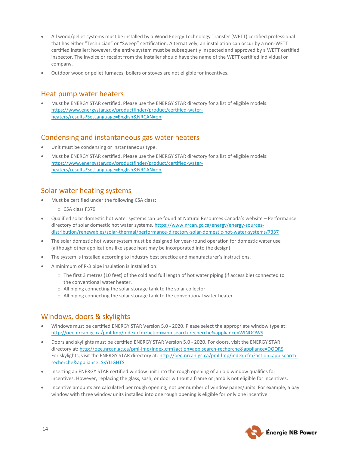- All wood/pellet systems must be installed by a Wood Energy Technology Transfer (WETT) certified professional that has either "Technician" or "Sweep" certification. Alternatively, an installation can occur by a non-WETT certified installer; however, the entire system must be subsequently inspected and approved by a WETT certified inspector. The invoice or receipt from the installer should have the name of the WETT certified individual or company.
- Outdoor wood or pellet furnaces, boilers or stoves are not eligible for incentives.

### <span id="page-15-0"></span>Heat pump water heaters

• Must be ENERGY STAR certified. Please use the ENERGY STAR directory for a list of eligible models: [https://www.energystar.gov/productfinder/product/certified-water](https://www.energystar.gov/productfinder/product/certified-water-heaters/results?SetLanguage=English&NRCAN=on)[heaters/results?SetLanguage=English&NRCAN=on](https://www.energystar.gov/productfinder/product/certified-water-heaters/results?SetLanguage=English&NRCAN=on)

### <span id="page-15-1"></span>Condensing and instantaneous gas water heaters

- Unit must be condensing or instantaneous type.
- Must be ENERGY STAR certified. Please use the ENERGY STAR directory for a list of eligible models: [https://www.energystar.gov/productfinder/product/certified-water](https://www.energystar.gov/productfinder/product/certified-water-heaters/results?SetLanguage=English&NRCAN=on)[heaters/results?SetLanguage=English&NRCAN=on](https://www.energystar.gov/productfinder/product/certified-water-heaters/results?SetLanguage=English&NRCAN=on)

## <span id="page-15-2"></span>Solar water heating systems

- Must be certified under the following CSA class:
	- o CSA class F379
- Qualified solar domestic hot water systems can be found at Natural Resources Canada's website Performance directory of solar domestic hot water systems[. https://www.nrcan.gc.ca/energy/energy-sources](https://www.nrcan.gc.ca/energy/energy-sources-distribution/renewables/solar-thermal/performance-directory-solar-domestic-hot-water-systems/7337)[distribution/renewables/solar-thermal/performance-directory-solar-domestic-hot-water-systems/7337](https://www.nrcan.gc.ca/energy/energy-sources-distribution/renewables/solar-thermal/performance-directory-solar-domestic-hot-water-systems/7337)
- The solar domestic hot water system must be designed for year-round operation for domestic water use (although other applications like space heat may be incorporated into the design)
- The system is installed according to industry best practice and manufacturer's instructions.
- A minimum of R-3 pipe insulation is installed on:
	- o The first 3 metres (10 feet) of the cold and full length of hot water piping (if accessible) connected to the conventional water heater.
	- o All piping connecting the solar storage tank to the solar collector.
	- o All piping connecting the solar storage tank to the conventional water heater.

## <span id="page-15-3"></span>Windows, doors & skylights

- Windows must be certified ENERGY STAR Version 5.0 2020. Please select the appropriate window type at: [http://oee.nrcan.gc.ca/pml-lmp/index.cfm?action=app.search-recherche&appliance=WINDOWS.](http://oee.nrcan.gc.ca/pml-lmp/index.cfm?action=app.search-recherche&appliance=WINDOWS)
- Doors and skylights must be certified ENERGY STAR Version 5.0 2020. For doors, visit the ENERGY STAR directory at[: http://oee.nrcan.gc.ca/pml-lmp/index.cfm?action=app.search-recherche&appliance=DOORS](http://oee.nrcan.gc.ca/pml-lmp/index.cfm?action=app.search-recherche&appliance=DOORS) For skylights, visit the ENERGY STAR directory at: [http://oee.nrcan.gc.ca/pml-lmp/index.cfm?action=app.search](http://oee.nrcan.gc.ca/pml-lmp/index.cfm?action=app.search-recherche&appliance=SKYLIGHTS)[recherche&appliance=SKYLIGHTS](http://oee.nrcan.gc.ca/pml-lmp/index.cfm?action=app.search-recherche&appliance=SKYLIGHTS)
- Inserting an ENERGY STAR certified window unit into the rough opening of an old window qualifies for incentives. However, replacing the glass, sash, or door without a frame or jamb is not eligible for incentives.
- Incentive amounts are calculated per rough opening, not per number of window panes/units. For example, a bay window with three window units installed into one rough opening is eligible for only one incentive.

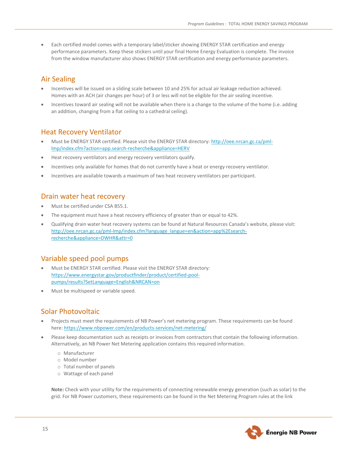• Each certified model comes with a temporary label/sticker showing ENERGY STAR certification and energy performance parameters. Keep these stickers until your final Home Energy Evaluation is complete. The invoice from the window manufacturer also shows ENERGY STAR certification and energy performance parameters.

## <span id="page-16-0"></span>Air Sealing

- Incentives will be issued on a sliding scale between 10 and 25% for actual air leakage reduction achieved. Homes with an ACH (air changes per hour) of 3 or less will not be eligible for the air sealing incentive.
- Incentives toward air sealing will not be available when there is a change to the volume of the home (i.e. adding an addition, changing from a flat ceiling to a cathedral ceiling).

### <span id="page-16-1"></span>Heat Recovery Ventilator

- Must be ENERGY STAR certified. Please visit the ENERGY STAR directory[: http://oee.nrcan.gc.ca/pml](http://oee.nrcan.gc.ca/pml-lmp/index.cfm?action=app.search-recherche&appliance=HERV)[lmp/index.cfm?action=app.search-recherche&appliance=HERV](http://oee.nrcan.gc.ca/pml-lmp/index.cfm?action=app.search-recherche&appliance=HERV)
- Heat recovery ventilators and energy recovery ventilators qualify.
- Incentives only available for homes that do not currently have a heat or energy recovery ventilator.
- Incentives are available towards a maximum of two heat recovery ventilators per participant.

#### <span id="page-16-2"></span>Drain water heat recovery

- Must be certified under CSA B55.1.
- The equipment must have a heat recovery efficiency of greater than or equal to 42%.
- Qualifying drain water heat recovery systems can be found at Natural Resources Canada's website, please visit: [http://oee.nrcan.gc.ca/pml-lmp/index.cfm?language\\_langue=en&action=app%2Esearch](http://oee.nrcan.gc.ca/pml-lmp/index.cfm?language_langue=en&action=app%2Esearch-recherche&appliance=DWHR&attr=0)[recherche&appliance=DWHR&attr=0](http://oee.nrcan.gc.ca/pml-lmp/index.cfm?language_langue=en&action=app%2Esearch-recherche&appliance=DWHR&attr=0)

### <span id="page-16-3"></span>Variable speed pool pumps

- Must be ENERGY STAR certified. Please visit the ENERGY STAR directory: [https://www.energystar.gov/productfinder/product/certified-pool](https://www.energystar.gov/productfinder/product/certified-pool-pumps/results?SetLanguage=English&NRCAN=on)[pumps/results?SetLanguage=English&NRCAN=on](https://www.energystar.gov/productfinder/product/certified-pool-pumps/results?SetLanguage=English&NRCAN=on)
- Must be multispeed or variable speed.

### <span id="page-16-4"></span>Solar Photovoltaic

- Projects must meet the requirements of NB Power's net metering program. These requirements can be found here[: https://www.nbpower.com/en/products-services/net-metering/](https://www.nbpower.com/en/products-services/net-metering/)
- Please keep documentation such as receipts or invoices from contractors that contain the following information. Alternatively, an NB Power Net Metering application contains this required information.
	- o Manufacturer
	- o Model number
	- o Total number of panels
	- o Wattage of each panel

**Note:** Check with your utility for the requirements of connecting renewable energy generation (such as solar) to the grid. For NB Power customers, these requirements can be found in the Net Metering Program rules at the link

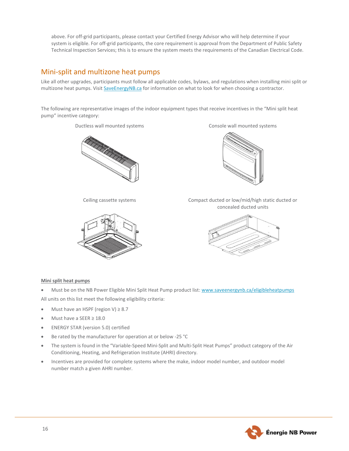above. For off-grid participants, please contact your Certified Energy Advisor who will help determine if your system is eligible. For off-grid participants, the core requirement is approval from the Department of Public Safety Technical Inspection Services; this is to ensure the system meets the requirements of the Canadian Electrical Code.

## <span id="page-17-0"></span>Mini-split and multizone heat pumps

Like all other upgrades, participants must follow all applicable codes, bylaws, and regulations when installing mini split or multizone heat pumps. Visit [SaveEnergyNB.ca](https://www.saveenergynb.ca/en/save-energy/residential/total-home-energy-savings-program/) for information on what to look for when choosing a contractor.

The following are representative images of the indoor equipment types that receive incentives in the "Mini split heat pump" incentive category:





Ductless wall mounted systems Console wall mounted systems



Ceiling cassette systems Compact ducted or low/mid/high static ducted or concealed ducted units



#### **Mini split heat pumps**

• Must be on the NB Power Eligible Mini Split Heat Pump product list[: www.saveenergynb.ca/eligibleheatpumps](http://www.saveenergynb.ca/eligibleheatpumps) All units on this list meet the following eligibility criteria:

- Must have an HSPF (region V) ≥ 8.7
- Must have a SEER ≥ 18.0
- ENERGY STAR (version 5.0) certified
- Be rated by the manufacturer for operation at or below -25 °C
- The system is found in the "Variable-Speed Mini-Split and Multi-Split Heat Pumps" product category of the Air Conditioning, Heating, and Refrigeration Institute (AHRI) directory.
- Incentives are provided for complete systems where the make, indoor model number, and outdoor model number match a given AHRI number.

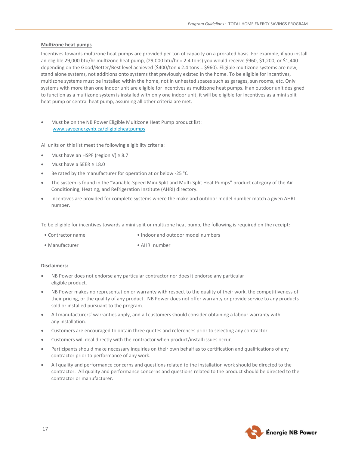#### **Multizone heat pumps**

Incentives towards multizone heat pumps are provided per ton of capacity on a prorated basis. For example, if you install an eligible 29,000 btu/hr multizone heat pump, (29,000 btu/hr = 2.4 tons) you would receive \$960, \$1,200, or \$1,440 depending on the Good/Better/Best level achieved (\$400/ton x 2.4 tons = \$960). Eligible multizone systems are new, stand alone systems, not additions onto systems that previously existed in the home. To be eligible for incentives, multizone systems must be installed within the home, not in unheated spaces such as garages, sun rooms, etc. Only systems with more than one indoor unit are eligible for incentives as multizone heat pumps. If an outdoor unit designed to function as a multizone system is installed with only one indoor unit, it will be eligible for incentives as a mini split heat pump or central heat pump, assuming all other criteria are met.

• Must be on the NB Power Eligible Multizone Heat Pump product list: [www.saveenergynb.ca/eligibleheatpumps](http://www.saveenergynb.ca/eligibleheatpumps)

All units on this list meet the following eligibility criteria:

- Must have an HSPF (region V)  $\geq 8.7$
- Must have a SEER ≥ 18.0
- Be rated by the manufacturer for operation at or below -25 °C
- The system is found in the "Variable-Speed Mini-Split and Multi-Split Heat Pumps" product category of the Air Conditioning, Heating, and Refrigeration Institute (AHRI) directory.
- Incentives are provided for complete systems where the make and outdoor model number match a given AHRI number.

To be eligible for incentives towards a mini split or multizone heat pump, the following is required on the receipt:

- Contractor name Indoor and outdoor model numbers
- Manufacturer AHRI number

#### **Disclaimers:**

- NB Power does not endorse any particular contractor nor does it endorse any particular eligible product.
- NB Power makes no representation or warranty with respect to the quality of their work, the competitiveness of their pricing, or the quality of any product. NB Power does not offer warranty or provide service to any products sold or installed pursuant to the program.
- All manufacturers' warranties apply, and all customers should consider obtaining a labour warranty with any installation.
- Customers are encouraged to obtain three quotes and references prior to selecting any contractor.
- Customers will deal directly with the contractor when product/install issues occur.
- Participants should make necessary inquiries on their own behalf as to certification and qualifications of any contractor prior to performance of any work.
- All quality and performance concerns and questions related to the installation work should be directed to the contractor. All quality and performance concerns and questions related to the product should be directed to the contractor or manufacturer.